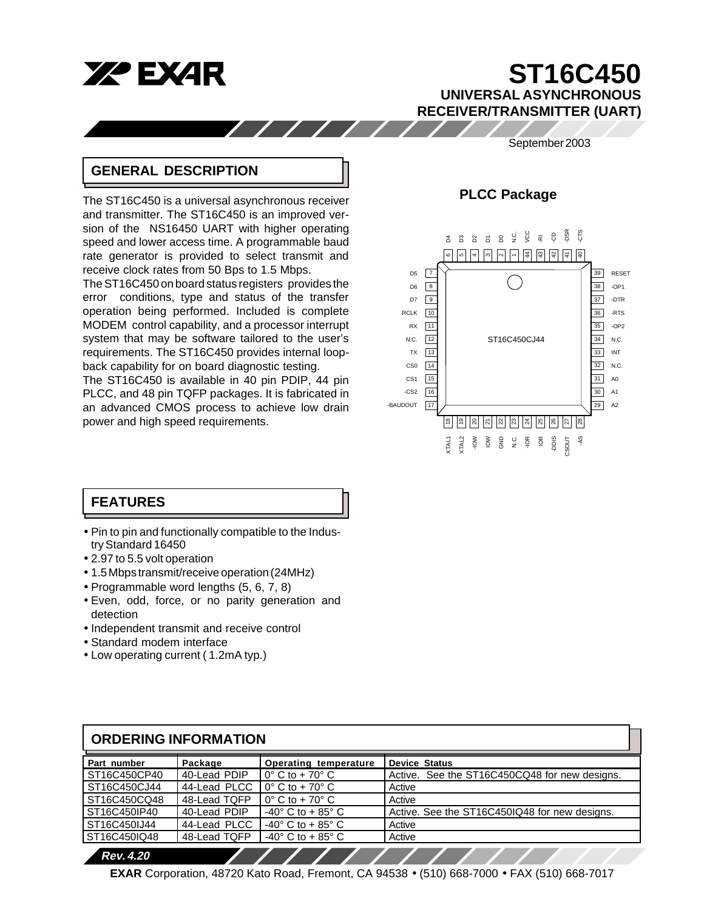

# **ST16C450 UNIVERSAL ASYNCHRONOUS RECEIVER/TRANSMITTER (UART)**

# September 2003

# **GENERAL DESCRIPTION**

The ST16C450 is a universal asynchronous receiver and transmitter. The ST16C450 is an improved version of the NS16450 UART with higher operating speed and lower access time. A programmable baud rate generator is provided to select transmit and receive clock rates from 50 Bps to 1.5 Mbps.

 $11111$ 

The ST16C450 on board status registers provides the error conditions, type and status of the transfer operation being performed. Included is complete MODEM control capability, and a processor interrupt system that may be software tailored to the user's requirements. The ST16C450 provides internal loopback capability for on board diagnostic testing.

The ST16C450 is available in 40 pin PDIP, 44 pin PLCC, and 48 pin TQFP packages. It is fabricated in an advanced CMOS process to achieve low drain power and high speed requirements.

# **PLCC Package**



# **FEATURES**

- Pin to pin and functionally compatible to the Industry Standard 16450
- 2.97 to 5.5 volt operation
- 1.5 Mbps transmit/receive operation (24MHz)
- Programmable word lengths (5, 6, 7, 8)
- Even, odd, force, or no parity generation and detection
- Independent transmit and receive control
- Standard modem interface
- Low operating current ( 1.2mA typ.)

| <b>ORDERING INFORMATION</b> |              |                                      |                                               |  |  |  |  |  |  |
|-----------------------------|--------------|--------------------------------------|-----------------------------------------------|--|--|--|--|--|--|
| Part number                 | Package      | Operating temperature                | <b>Device Status</b>                          |  |  |  |  |  |  |
| ST16C450CP40                | 40-Lead PDIP | $0^\circ$ C to + 70 $^\circ$ C       | Active. See the ST16C450CQ48 for new designs. |  |  |  |  |  |  |
| ST16C450CJ44                | 44-Lead PLCC | $0^\circ$ C to + 70 $^\circ$ C       | Active                                        |  |  |  |  |  |  |
| ST16C450CQ48                | 48-Lead TQFP | $0^\circ$ C to + 70 $^\circ$ C       | Active                                        |  |  |  |  |  |  |
| ST16C450IP40                | 40-Lead PDIP | $-40^{\circ}$ C to + 85 $^{\circ}$ C | Active. See the ST16C450IQ48 for new designs. |  |  |  |  |  |  |
| ST16C450IJ44                | 44-Lead PLCC | $-40^{\circ}$ C to + 85 $^{\circ}$ C | Active                                        |  |  |  |  |  |  |
| ST16C450IQ48                | 48-Lead TQFP | $-40^{\circ}$ C to + 85 $^{\circ}$ C | Active                                        |  |  |  |  |  |  |
| <b>Rev. 4.20</b>            |              |                                      |                                               |  |  |  |  |  |  |

**EXAR** Corporation, 48720 Kato Road, Fremont, CA 94538 • (510) 668-7000 • FAX (510) 668-7017

//////////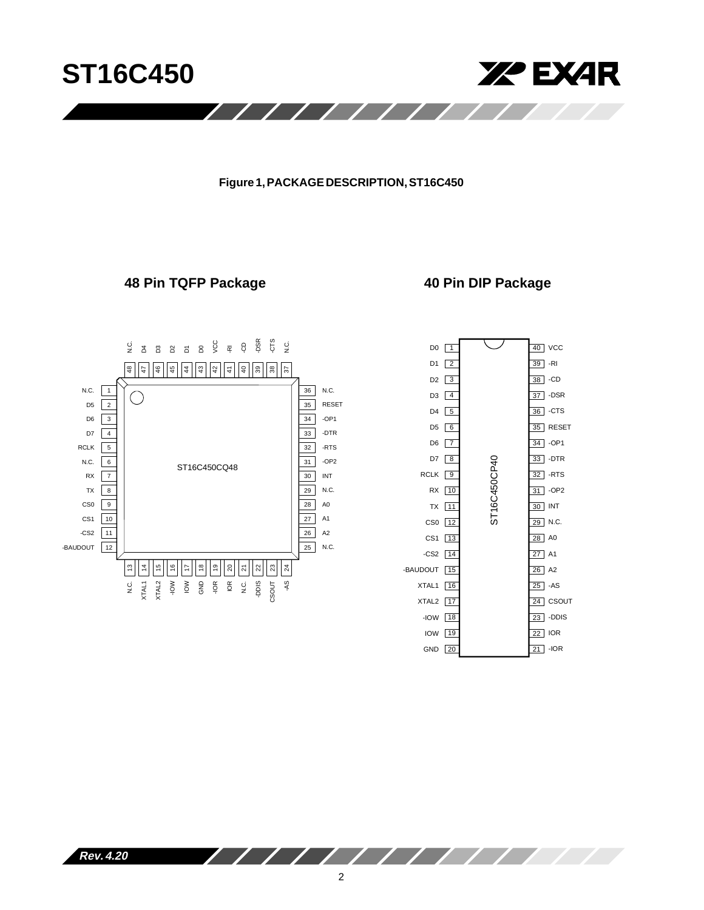

# **Figure 1, PACKAGE DESCRIPTION, ST16C450**

# **48 Pin TQFP Package 40 Pin DIP Package**





J.

**Rev. 4.20**

 $\sqrt{1111}$ 

 $\overline{\phantom{a}}$ 

 $\overline{\phantom{a}}$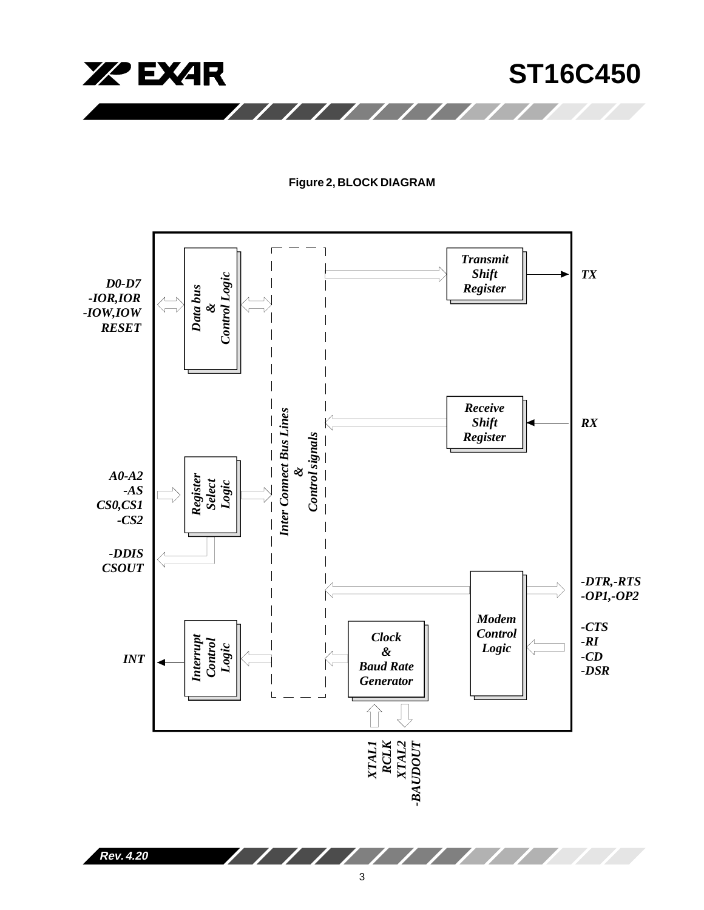

# **Figure 2, BLOCK DIAGRAM**



**Rev. 4.20**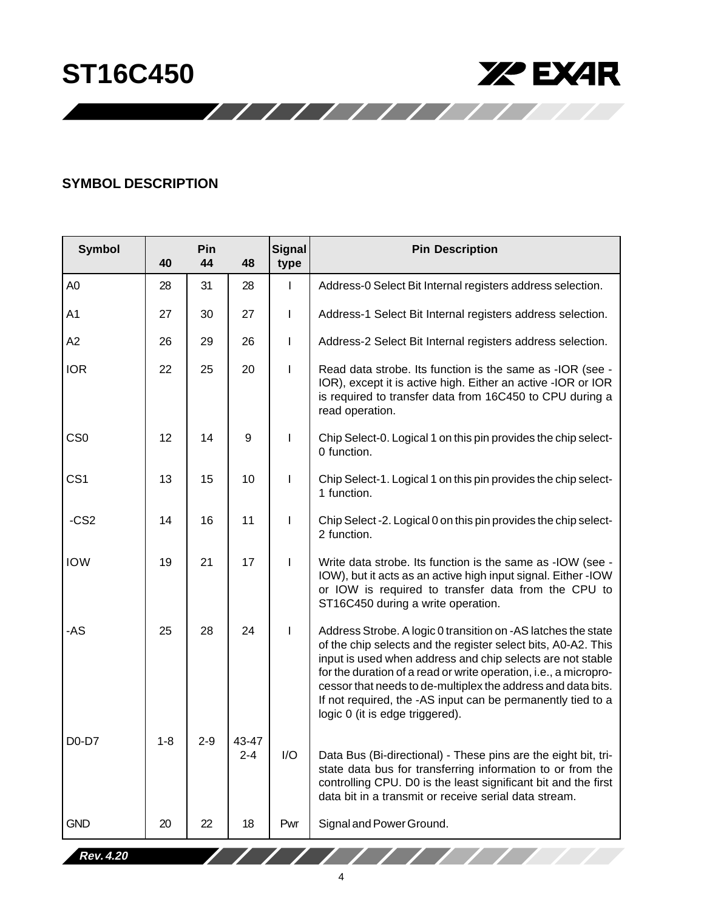

# **SYMBOL DESCRIPTION**

| <b>Symbol</b>   | 40      | Pin<br>44 | 48               | Signal<br>type           | <b>Pin Description</b>                                                                                                                                                                                                                                                                                                                                                                                                             |
|-----------------|---------|-----------|------------------|--------------------------|------------------------------------------------------------------------------------------------------------------------------------------------------------------------------------------------------------------------------------------------------------------------------------------------------------------------------------------------------------------------------------------------------------------------------------|
| A <sub>0</sub>  | 28      | 31        | 28               | $\mathbf{I}$             | Address-0 Select Bit Internal registers address selection.                                                                                                                                                                                                                                                                                                                                                                         |
| A1              | 27      | 30        | 27               | I                        | Address-1 Select Bit Internal registers address selection.                                                                                                                                                                                                                                                                                                                                                                         |
| A2              | 26      | 29        | 26               | I.                       | Address-2 Select Bit Internal registers address selection.                                                                                                                                                                                                                                                                                                                                                                         |
| <b>IOR</b>      | 22      | 25        | 20               | $\overline{\phantom{a}}$ | Read data strobe. Its function is the same as -IOR (see -<br>IOR), except it is active high. Either an active -IOR or IOR<br>is required to transfer data from 16C450 to CPU during a<br>read operation.                                                                                                                                                                                                                           |
| CS <sub>0</sub> | 12      | 14        | 9                | I                        | Chip Select-0. Logical 1 on this pin provides the chip select-<br>0 function.                                                                                                                                                                                                                                                                                                                                                      |
| CS <sub>1</sub> | 13      | 15        | 10               | I                        | Chip Select-1. Logical 1 on this pin provides the chip select-<br>1 function.                                                                                                                                                                                                                                                                                                                                                      |
| $-CS2$          | 14      | 16        | 11               | I                        | Chip Select -2. Logical 0 on this pin provides the chip select-<br>2 function.                                                                                                                                                                                                                                                                                                                                                     |
| <b>IOW</b>      | 19      | 21        | 17               | $\mathsf{l}$             | Write data strobe. Its function is the same as -IOW (see -<br>IOW), but it acts as an active high input signal. Either -IOW<br>or IOW is required to transfer data from the CPU to<br>ST16C450 during a write operation.                                                                                                                                                                                                           |
| -AS             | 25      | 28        | 24               | L                        | Address Strobe. A logic 0 transition on -AS latches the state<br>of the chip selects and the register select bits, A0-A2. This<br>input is used when address and chip selects are not stable<br>for the duration of a read or write operation, i.e., a micropro-<br>cessor that needs to de-multiplex the address and data bits.<br>If not required, the -AS input can be permanently tied to a<br>logic 0 (it is edge triggered). |
| $D0-D7$         | $1 - 8$ | $2 - 9$   | 43-47<br>$2 - 4$ | I/O                      | Data Bus (Bi-directional) - These pins are the eight bit, tri-<br>state data bus for transferring information to or from the<br>controlling CPU. D0 is the least significant bit and the first<br>data bit in a transmit or receive serial data stream.                                                                                                                                                                            |
| <b>GND</b>      | 20      | 22        | 18               | Pwr                      | Signal and Power Ground.                                                                                                                                                                                                                                                                                                                                                                                                           |
| Rev. 4.20       |         |           |                  |                          | $\sqrt{1111111}$                                                                                                                                                                                                                                                                                                                                                                                                                   |

11111111111111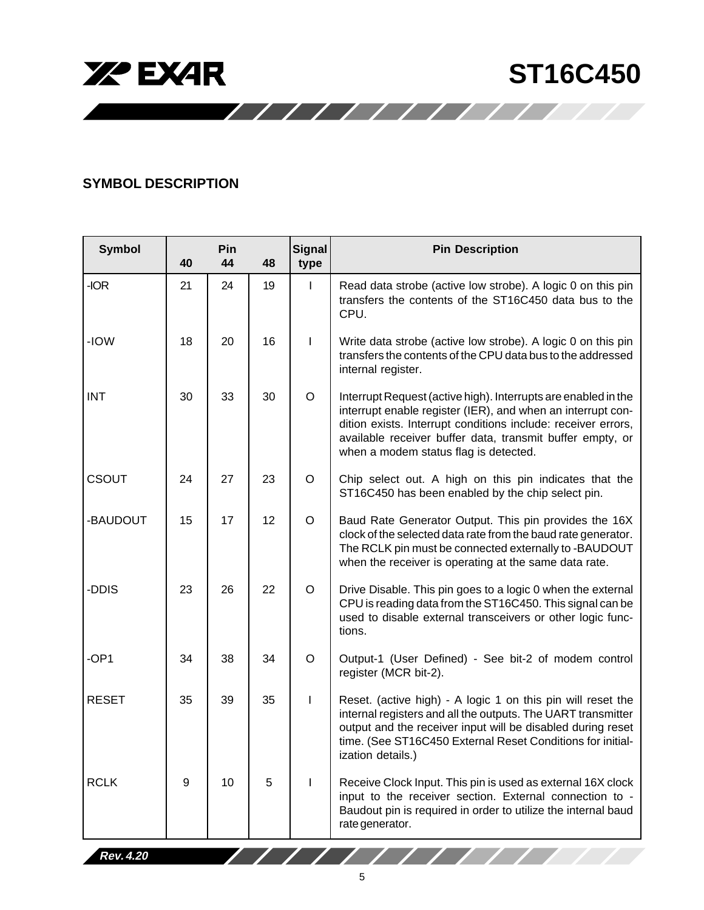



# **SYMBOL DESCRIPTION**

| <b>Symbol</b> | 40 | Pin<br>44 | 48 | <b>Signal</b><br>type | <b>Pin Description</b>                                                                                                                                                                                                                                                                               |
|---------------|----|-----------|----|-----------------------|------------------------------------------------------------------------------------------------------------------------------------------------------------------------------------------------------------------------------------------------------------------------------------------------------|
| -IOR          | 21 | 24        | 19 | $\mathsf I$           | Read data strobe (active low strobe). A logic 0 on this pin<br>transfers the contents of the ST16C450 data bus to the<br>CPU.                                                                                                                                                                        |
| -IOW          | 18 | 20        | 16 | I                     | Write data strobe (active low strobe). A logic 0 on this pin<br>transfers the contents of the CPU data bus to the addressed<br>internal register.                                                                                                                                                    |
| <b>INT</b>    | 30 | 33        | 30 | $\mathsf O$           | Interrupt Request (active high). Interrupts are enabled in the<br>interrupt enable register (IER), and when an interrupt con-<br>dition exists. Interrupt conditions include: receiver errors,<br>available receiver buffer data, transmit buffer empty, or<br>when a modem status flag is detected. |
| <b>CSOUT</b>  | 24 | 27        | 23 | $\mathsf O$           | Chip select out. A high on this pin indicates that the<br>ST16C450 has been enabled by the chip select pin.                                                                                                                                                                                          |
| -BAUDOUT      | 15 | 17        | 12 | $\mathsf O$           | Baud Rate Generator Output. This pin provides the 16X<br>clock of the selected data rate from the baud rate generator.<br>The RCLK pin must be connected externally to -BAUDOUT<br>when the receiver is operating at the same data rate.                                                             |
| -DDIS         | 23 | 26        | 22 | $\mathsf O$           | Drive Disable. This pin goes to a logic 0 when the external<br>CPU is reading data from the ST16C450. This signal can be<br>used to disable external transceivers or other logic func-<br>tions.                                                                                                     |
| -OP1          | 34 | 38        | 34 | $\mathsf O$           | Output-1 (User Defined) - See bit-2 of modem control<br>register (MCR bit-2).                                                                                                                                                                                                                        |
| <b>RESET</b>  | 35 | 39        | 35 | I                     | Reset. (active high) - A logic 1 on this pin will reset the<br>internal registers and all the outputs. The UART transmitter<br>output and the receiver input will be disabled during reset<br>time. (See ST16C450 External Reset Conditions for initial-<br>ization details.)                        |
| <b>RCLK</b>   | 9  | 10        | 5  |                       | Receive Clock Input. This pin is used as external 16X clock<br>input to the receiver section. External connection to -<br>Baudout pin is required in order to utilize the internal baud<br>rate generator.                                                                                           |

11111111111111

**Rev. 4.20**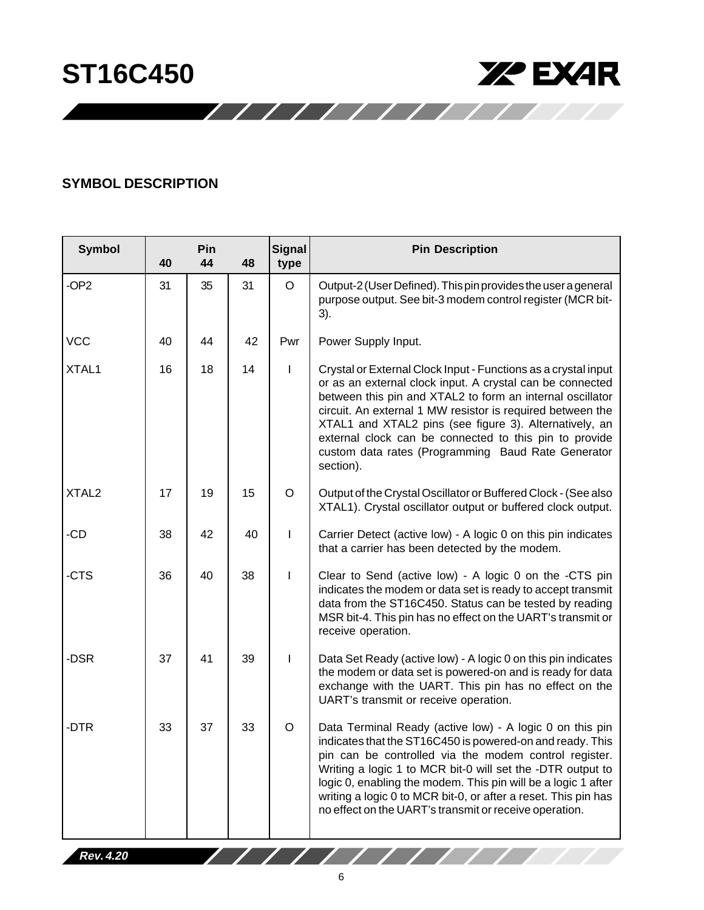

# **SYMBOL DESCRIPTION**

| <b>Symbol</b>     | 40 | Pin<br>44 | 48 | <b>Signal</b><br>type | <b>Pin Description</b>                                                                                                                                                                                                                                                                                                                                                                                                                        |
|-------------------|----|-----------|----|-----------------------|-----------------------------------------------------------------------------------------------------------------------------------------------------------------------------------------------------------------------------------------------------------------------------------------------------------------------------------------------------------------------------------------------------------------------------------------------|
| -OP <sub>2</sub>  | 31 | 35        | 31 | $\mathsf O$           | Output-2 (User Defined). This pin provides the user a general<br>purpose output. See bit-3 modem control register (MCR bit-<br>3).                                                                                                                                                                                                                                                                                                            |
| <b>VCC</b>        | 40 | 44        | 42 | Pwr                   | Power Supply Input.                                                                                                                                                                                                                                                                                                                                                                                                                           |
| XTAL1             | 16 | 18        | 14 | I                     | Crystal or External Clock Input - Functions as a crystal input<br>or as an external clock input. A crystal can be connected<br>between this pin and XTAL2 to form an internal oscillator<br>circuit. An external 1 MW resistor is required between the<br>XTAL1 and XTAL2 pins (see figure 3). Alternatively, an<br>external clock can be connected to this pin to provide<br>custom data rates (Programming Baud Rate Generator<br>section). |
| XTAL <sub>2</sub> | 17 | 19        | 15 | $\circ$               | Output of the Crystal Oscillator or Buffered Clock - (See also<br>XTAL1). Crystal oscillator output or buffered clock output.                                                                                                                                                                                                                                                                                                                 |
| -CD               | 38 | 42        | 40 | I                     | Carrier Detect (active low) - A logic 0 on this pin indicates<br>that a carrier has been detected by the modem.                                                                                                                                                                                                                                                                                                                               |
| -CTS              | 36 | 40        | 38 | ı                     | Clear to Send (active low) - A logic 0 on the -CTS pin<br>indicates the modem or data set is ready to accept transmit<br>data from the ST16C450. Status can be tested by reading<br>MSR bit-4. This pin has no effect on the UART's transmit or<br>receive operation.                                                                                                                                                                         |
| -DSR              | 37 | 41        | 39 | I                     | Data Set Ready (active low) - A logic 0 on this pin indicates<br>the modem or data set is powered-on and is ready for data<br>exchange with the UART. This pin has no effect on the<br>UART's transmit or receive operation.                                                                                                                                                                                                                  |
| -DTR              | 33 | 37        | 33 | $\circ$               | Data Terminal Ready (active low) - A logic 0 on this pin<br>indicates that the ST16C450 is powered-on and ready. This<br>pin can be controlled via the modem control register.<br>Writing a logic 1 to MCR bit-0 will set the -DTR output to<br>logic 0, enabling the modem. This pin will be a logic 1 after<br>writing a logic 0 to MCR bit-0, or after a reset. This pin has<br>no effect on the UART's transmit or receive operation.     |
| Rev. 4.20         |    |           |    |                       | $\sqrt{1111}$                                                                                                                                                                                                                                                                                                                                                                                                                                 |

11111111111111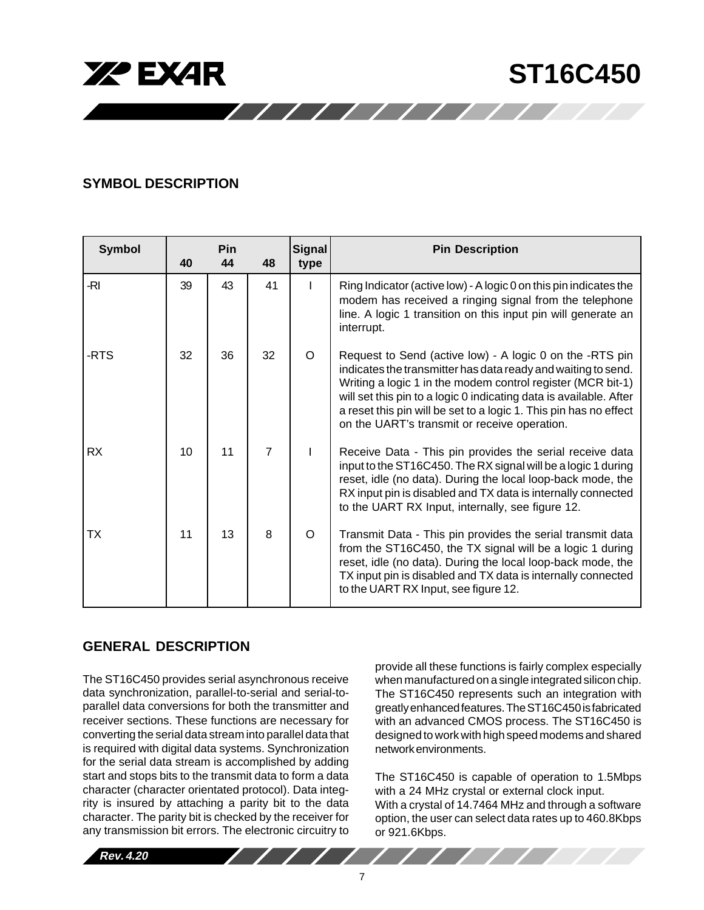

# **SYMBOL DESCRIPTION**

| <b>Symbol</b> | 40 | Pin<br>44 | 48             | <b>Signal</b><br>type | <b>Pin Description</b>                                                                                                                                                                                                                                                                                                                                                              |
|---------------|----|-----------|----------------|-----------------------|-------------------------------------------------------------------------------------------------------------------------------------------------------------------------------------------------------------------------------------------------------------------------------------------------------------------------------------------------------------------------------------|
| -RI           | 39 | 43        | 41             | I.                    | Ring Indicator (active low) - A logic 0 on this pin indicates the<br>modem has received a ringing signal from the telephone<br>line. A logic 1 transition on this input pin will generate an<br>interrupt.                                                                                                                                                                          |
| -RTS          | 32 | 36        | 32             | O                     | Request to Send (active low) - A logic 0 on the -RTS pin<br>indicates the transmitter has data ready and waiting to send.<br>Writing a logic 1 in the modem control register (MCR bit-1)<br>will set this pin to a logic 0 indicating data is available. After<br>a reset this pin will be set to a logic 1. This pin has no effect<br>on the UART's transmit or receive operation. |
| <b>RX</b>     | 10 | 11        | $\overline{7}$ |                       | Receive Data - This pin provides the serial receive data<br>input to the ST16C450. The RX signal will be a logic 1 during<br>reset, idle (no data). During the local loop-back mode, the<br>RX input pin is disabled and TX data is internally connected<br>to the UART RX Input, internally, see figure 12.                                                                        |
| ТX            | 11 | 13        | 8              | O                     | Transmit Data - This pin provides the serial transmit data<br>from the ST16C450, the TX signal will be a logic 1 during<br>reset, idle (no data). During the local loop-back mode, the<br>TX input pin is disabled and TX data is internally connected<br>to the UART RX Input, see figure 12.                                                                                      |

/////////////

# **GENERAL DESCRIPTION**

The ST16C450 provides serial asynchronous receive data synchronization, parallel-to-serial and serial-toparallel data conversions for both the transmitter and receiver sections. These functions are necessary for converting the serial data stream into parallel data that is required with digital data systems. Synchronization for the serial data stream is accomplished by adding start and stops bits to the transmit data to form a data character (character orientated protocol). Data integrity is insured by attaching a parity bit to the data character. The parity bit is checked by the receiver for any transmission bit errors. The electronic circuitry to

provide all these functions is fairly complex especially when manufactured on a single integrated silicon chip. The ST16C450 represents such an integration with greatly enhanced features. The ST16C450 is fabricated with an advanced CMOS process. The ST16C450 is designed to work with high speed modems and shared network environments.

The ST16C450 is capable of operation to 1.5Mbps with a 24 MHz crystal or external clock input. With a crystal of 14.7464 MHz and through a software option, the user can select data rates up to 460.8Kbps or 921.6Kbps.

 $111111$ 



 $\sqrt{1111}$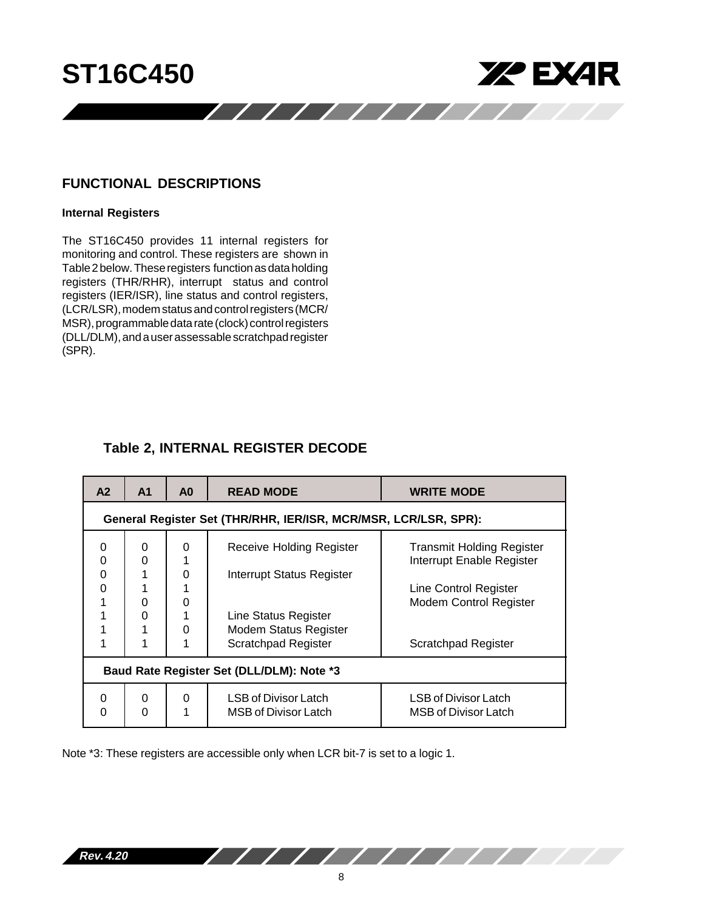

# **FUNCTIONAL DESCRIPTIONS**

# **Internal Registers**

The ST16C450 provides 11 internal registers for monitoring and control. These registers are shown in Table 2 below. These registers function as data holding registers (THR/RHR), interrupt status and control registers (IER/ISR), line status and control registers, (LCR/LSR), modem status and control registers (MCR/ MSR), programmable data rate (clock) control registers (DLL/DLM), and a user assessable scratchpad register (SPR).

# **Table 2, INTERNAL REGISTER DECODE**

| A2            | A <sub>1</sub>                                                  | A <sub>0</sub> | <b>READ MODE</b>                                                                   | <b>WRITE MODE</b>                                             |  |  |  |  |  |  |  |
|---------------|-----------------------------------------------------------------|----------------|------------------------------------------------------------------------------------|---------------------------------------------------------------|--|--|--|--|--|--|--|
|               | General Register Set (THR/RHR, IER/ISR, MCR/MSR, LCR/LSR, SPR): |                |                                                                                    |                                                               |  |  |  |  |  |  |  |
| 0<br>0<br>0   | 0<br>$\Omega$                                                   | 0<br>0         | Receive Holding Register<br><b>Interrupt Status Register</b>                       | <b>Transmit Holding Register</b><br>Interrupt Enable Register |  |  |  |  |  |  |  |
| $\Omega$<br>1 | 0                                                               | 0              |                                                                                    | Line Control Register<br><b>Modem Control Register</b>        |  |  |  |  |  |  |  |
|               | 0                                                               | 0              | Line Status Register<br><b>Modem Status Register</b><br><b>Scratchpad Register</b> | <b>Scratchpad Register</b>                                    |  |  |  |  |  |  |  |
|               | Baud Rate Register Set (DLL/DLM): Note *3                       |                |                                                                                    |                                                               |  |  |  |  |  |  |  |
| 0<br>0        | 0<br>$\Omega$                                                   | 0<br>1         | LSB of Divisor Latch<br><b>MSB of Divisor Latch</b>                                | LSB of Divisor Latch<br><b>MSB of Divisor Latch</b>           |  |  |  |  |  |  |  |

Note \*3: These registers are accessible only when LCR bit-7 is set to a logic 1.

**Rev. 4.20**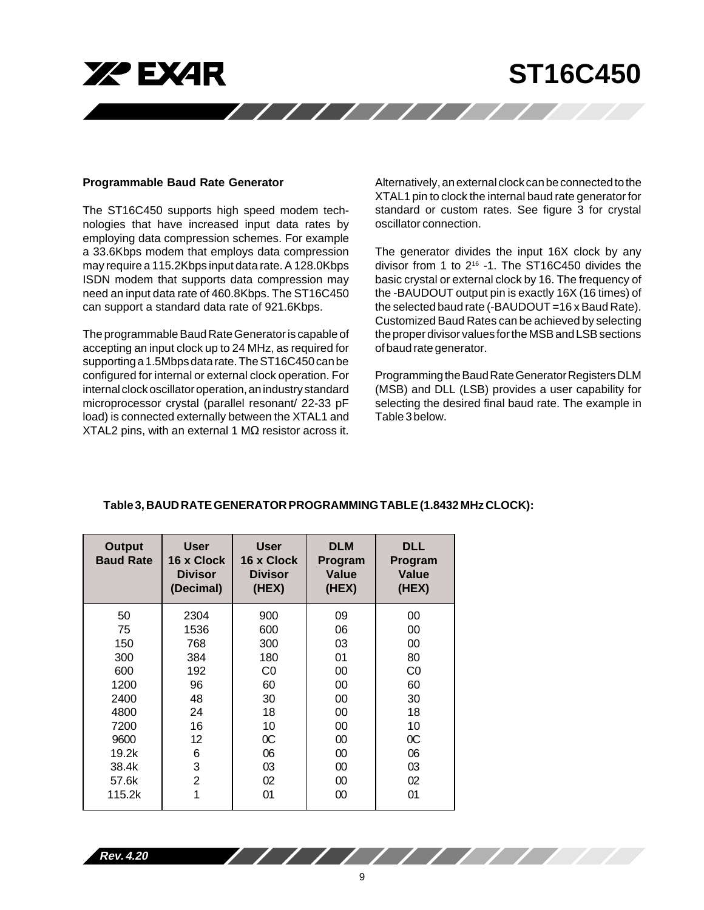

#### **Programmable Baud Rate Generator**

The ST16C450 supports high speed modem technologies that have increased input data rates by employing data compression schemes. For example a 33.6Kbps modem that employs data compression may require a 115.2Kbps input data rate. A 128.0Kbps ISDN modem that supports data compression may need an input data rate of 460.8Kbps. The ST16C450 can support a standard data rate of 921.6Kbps.

The programmable Baud Rate Generator is capable of accepting an input clock up to 24 MHz, as required for supporting a 1.5Mbps data rate. The ST16C450 can be configured for internal or external clock operation. For internal clock oscillator operation, an industry standard microprocessor crystal (parallel resonant/ 22-33 pF load) is connected externally between the XTAL1 and XTAL2 pins, with an external 1 MΩ resistor across it.

Alternatively, an external clock can be connected to the XTAL1 pin to clock the internal baud rate generator for standard or custom rates. See figure 3 for crystal oscillator connection.

The generator divides the input 16X clock by any divisor from 1 to 216 -1. The ST16C450 divides the basic crystal or external clock by 16. The frequency of the -BAUDOUT output pin is exactly 16X (16 times) of the selected baud rate (-BAUDOUT =16 x Baud Rate). Customized Baud Rates can be achieved by selecting the proper divisor values for the MSB and LSB sections of baud rate generator.

Programming the Baud Rate Generator Registers DLM (MSB) and DLL (LSB) provides a user capability for selecting the desired final baud rate. The example in Table 3 below.

| Output<br><b>Baud Rate</b> | <b>User</b><br>16 x Clock<br><b>Divisor</b><br>(Decimal) | <b>User</b><br>16 x Clock<br><b>Divisor</b><br>(HEX) | <b>DLM</b><br>Program<br>Value<br>(HEX) | <b>DLL</b><br>Program<br>Value<br>(HEX) |
|----------------------------|----------------------------------------------------------|------------------------------------------------------|-----------------------------------------|-----------------------------------------|
| 50                         | 2304                                                     | 900                                                  | 09                                      | 00                                      |
| 75                         | 1536                                                     | 600                                                  | 06                                      | 00                                      |
| 150                        | 768                                                      | 300                                                  | 03                                      | 00                                      |
| 300                        | 384                                                      | 180                                                  | 01                                      | 80                                      |
| 600                        | 192                                                      | C0                                                   | 00                                      | C <sub>0</sub>                          |
| 1200                       | 96                                                       | 60                                                   | 00                                      | 60                                      |
| 2400                       | 48                                                       | 30                                                   | 00                                      | 30                                      |
| 4800                       | 24                                                       | 18                                                   | 00                                      | 18                                      |
| 7200                       | 16                                                       | 10                                                   | 00                                      | 10                                      |
| 9600                       | 12                                                       | $\rm{OC}$                                            | 00                                      | 0C                                      |
| 19.2k                      | 6                                                        | 06                                                   | $00\,$                                  | 06                                      |
| 38.4k                      | 3                                                        | 03                                                   | $00\,$                                  | 03                                      |
| 57.6k                      | $\overline{2}$                                           | 02                                                   | 00                                      | 02                                      |
| 115.2k                     | 1                                                        | 01                                                   | 00                                      | 01                                      |
|                            |                                                          |                                                      |                                         |                                         |

# **Table 3, BAUD RATE GENERATOR PROGRAMMING TABLE (1.8432 MHz CLOCK):**

**Rev. 4.20**

////////////////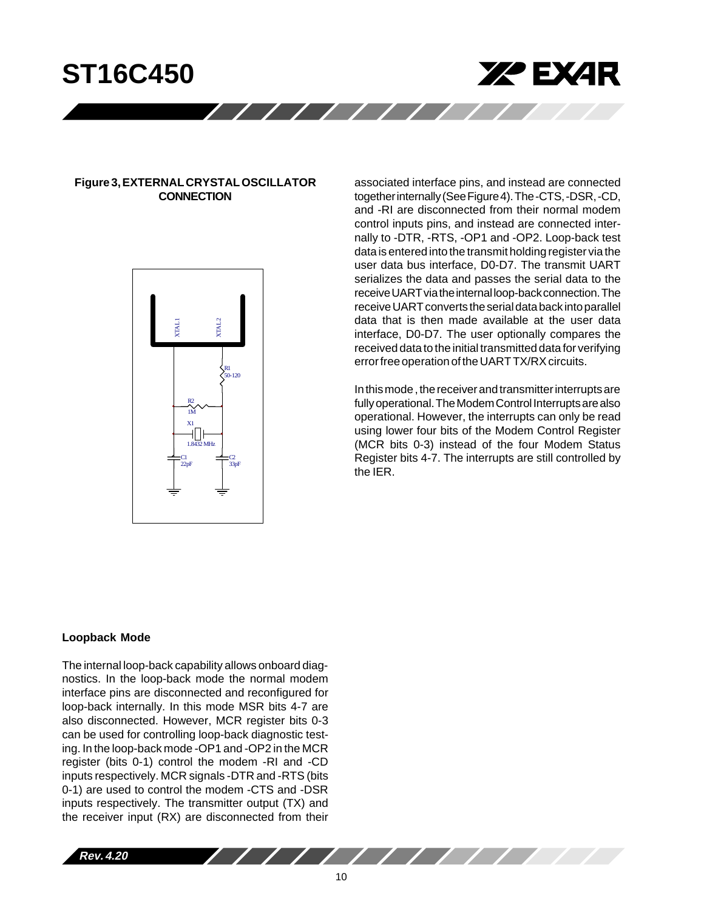



# **Figure 3, EXTERNAL CRYSTAL OSCILLATOR CONNECTION**



associated interface pins, and instead are connected together internally (See Figure 4). The -CTS, -DSR, -CD, and -RI are disconnected from their normal modem control inputs pins, and instead are connected internally to -DTR, -RTS, -OP1 and -OP2. Loop-back test data is entered into the transmit holding register via the user data bus interface, D0-D7. The transmit UART serializes the data and passes the serial data to the receive UART via the internal loop-back connection. The receive UART converts the serial data back into parallel data that is then made available at the user data interface, D0-D7. The user optionally compares the received data to the initial transmitted data for verifying error free operation of the UART TX/RX circuits.

In this mode , the receiver and transmitter interrupts are fully operational. The Modem Control Interrupts are also operational. However, the interrupts can only be read using lower four bits of the Modem Control Register (MCR bits 0-3) instead of the four Modem Status Register bits 4-7. The interrupts are still controlled by the IER.

#### **Loopback Mode**

The internal loop-back capability allows onboard diagnostics. In the loop-back mode the normal modem interface pins are disconnected and reconfigured for loop-back internally. In this mode MSR bits 4-7 are also disconnected. However, MCR register bits 0-3 can be used for controlling loop-back diagnostic testing. In the loop-back mode -OP1 and -OP2 in the MCR register (bits 0-1) control the modem -RI and -CD inputs respectively. MCR signals -DTR and -RTS (bits 0-1) are used to control the modem -CTS and -DSR inputs respectively. The transmitter output (TX) and the receiver input (RX) are disconnected from their



/////////////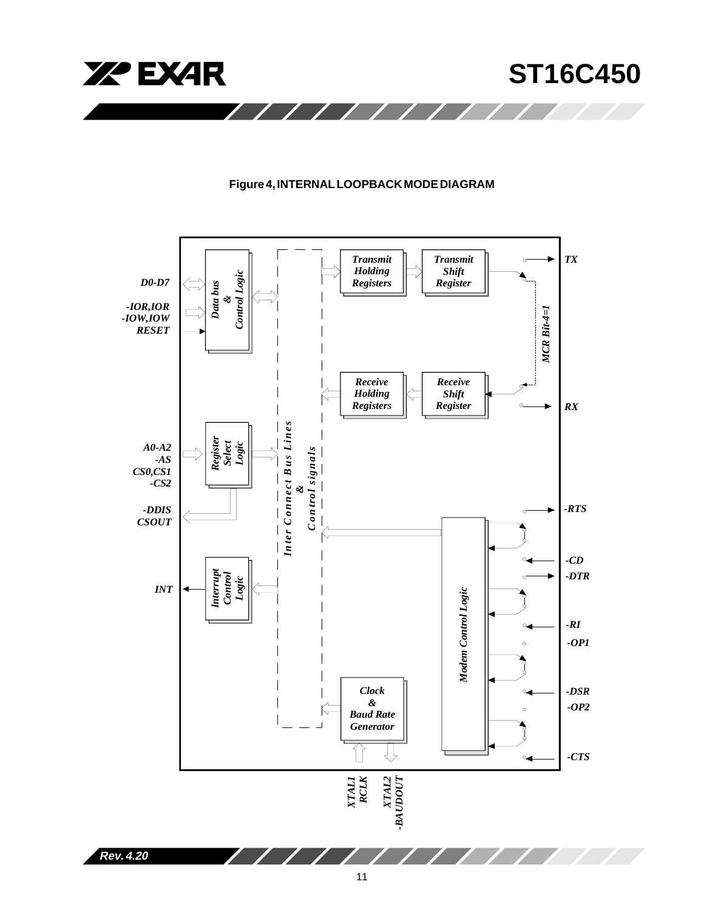

# **Figure 4, INTERNAL LOOPBACK MODE DIAGRAM**

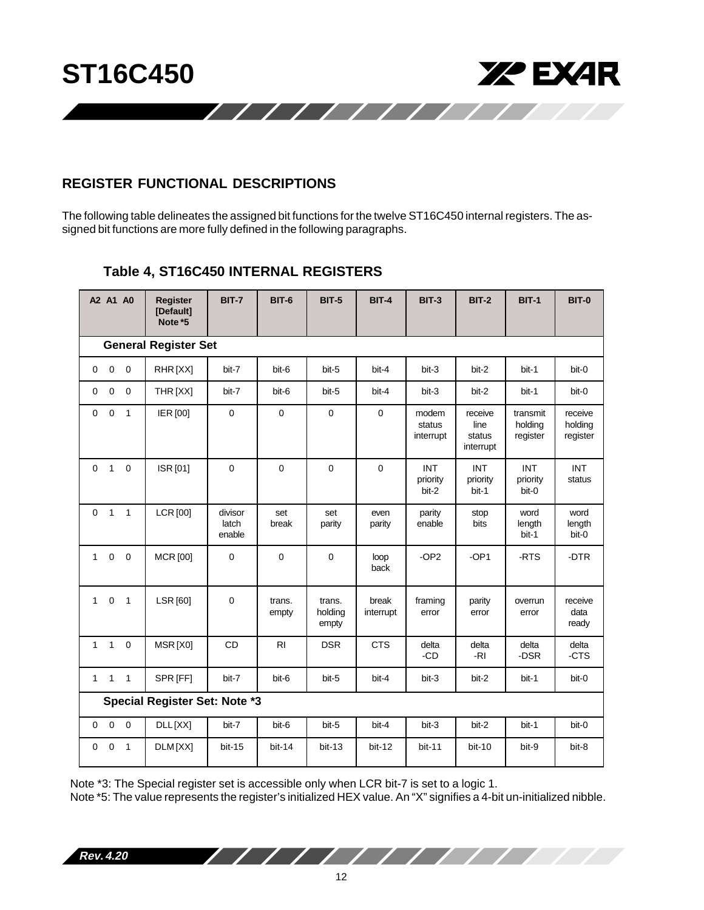

# **REGISTER FUNCTIONAL DESCRIPTIONS**

The following table delineates the assigned bit functions for the twelve ST16C450 internal registers. The assigned bit functions are more fully defined in the following paragraphs.

|              | A2 A1 A0                    |                | <b>Register</b><br>[Default]<br>Note *5 | <b>BIT-7</b>               | <b>BIT-6</b>    | <b>BIT-5</b>               | <b>BIT-4</b>       | <b>BIT-3</b>                    | <b>BIT-2</b>                           | <b>BIT-1</b>                    | <b>BIT-0</b>                   |
|--------------|-----------------------------|----------------|-----------------------------------------|----------------------------|-----------------|----------------------------|--------------------|---------------------------------|----------------------------------------|---------------------------------|--------------------------------|
|              | <b>General Register Set</b> |                |                                         |                            |                 |                            |                    |                                 |                                        |                                 |                                |
| $\mathbf 0$  | $\mathbf 0$                 | $\mathbf 0$    | RHR[XX]                                 | bit-7                      | bit-6           | bit-5                      | bit-4              | bit-3                           | bit-2                                  | bit-1                           | bit-0                          |
| 0            | $\mathbf 0$                 | $\pmb{0}$      | THR [XX]                                | bit-7                      | bit-6           | bit-5                      | bit-4              | bit-3                           | bit-2                                  | bit-1                           | bit-0                          |
| $\mathbf 0$  | $\mathbf 0$                 | $\mathbf{1}$   | IER [00]                                | $\mathbf 0$                | $\mathbf 0$     | $\mathbf 0$                | $\mathbf 0$        | modem<br>status<br>interrupt    | receive<br>line<br>status<br>interrupt | transmit<br>holding<br>register | receive<br>holding<br>register |
| 0            | $\mathbf{1}$                | $\mathbf 0$    | ISR [01]                                | $\mathbf 0$                | 0               | 0                          | $\mathbf 0$        | <b>INT</b><br>priority<br>bit-2 | <b>INT</b><br>priority<br>bit-1        | <b>INT</b><br>priority<br>bit-0 | <b>INT</b><br>status           |
| $\Omega$     | $\overline{1}$              | $\mathbf{1}$   | <b>LCR</b> [00]                         | divisor<br>latch<br>enable | set<br>break    | set<br>parity              | even<br>parity     | parity<br>enable                | stop<br>bits                           | word<br>length<br>bit-1         | word<br>length<br>bit-0        |
| $\mathbf{1}$ | $\mathbf{0}$                | $\overline{0}$ | <b>MCR</b> [00]                         | $\mathbf 0$                | $\mathbf 0$     | $\mathbf 0$                | loop<br>back       | $-OP2$                          | $-OP1$                                 | -RTS                            | -DTR                           |
| $\mathbf{1}$ | $\mathbf 0$                 | $\overline{1}$ | <b>LSR</b> [60]                         | $\mathbf 0$                | trans.<br>empty | trans.<br>holding<br>empty | break<br>interrupt | framing<br>error                | parity<br>error                        | overrun<br>error                | receive<br>data<br>ready       |
| $\mathbf{1}$ | $\mathbf{1}$                | $\pmb{0}$      | MSR[X0]                                 | CD                         | R <sub>l</sub>  | <b>DSR</b>                 | <b>CTS</b>         | delta<br>-CD                    | delta<br>-RI                           | delta<br>-DSR                   | delta<br>-CTS                  |
| $\mathbf{1}$ | $\mathbf{1}$                | $\mathbf{1}$   | SPR [FF]                                | bit-7                      | bit-6           | bit-5                      | bit-4              | bit-3                           | bit-2                                  | bit-1                           | bit-0                          |
|              |                             |                | Special Register Set: Note *3           |                            |                 |                            |                    |                                 |                                        |                                 |                                |
| 0            | $\mathbf 0$                 | $\mathbf 0$    | DLL[XX]                                 | bit-7                      | bit-6           | bit-5                      | bit-4              | bit-3                           | bit-2                                  | bit-1                           | bit-0                          |
| $\mathbf 0$  | $\mathbf 0$                 | $\overline{1}$ | DLM[XX]                                 | bit-15                     | $bit-14$        | $bit-13$                   | $bit-12$           | bit-11                          | bit-10                                 | bit-9                           | bit-8                          |

# **Table 4, ST16C450 INTERNAL REGISTERS**

Note \*3: The Special register set is accessible only when LCR bit-7 is set to a logic 1.

Note \*5: The value represents the register's initialized HEX value. An "X" signifies a 4-bit un-initialized nibble.

**Rev. 4.20**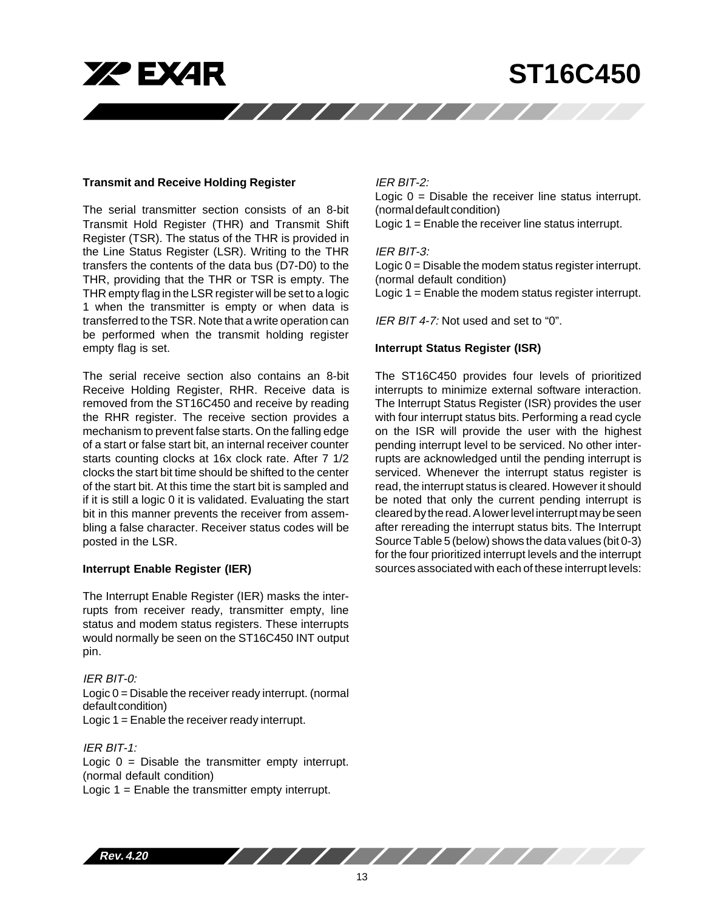

#### **Transmit and Receive Holding Register**

The serial transmitter section consists of an 8-bit Transmit Hold Register (THR) and Transmit Shift Register (TSR). The status of the THR is provided in the Line Status Register (LSR). Writing to the THR transfers the contents of the data bus (D7-D0) to the THR, providing that the THR or TSR is empty. The THR empty flag in the LSR register will be set to a logic 1 when the transmitter is empty or when data is transferred to the TSR. Note that a write operation can be performed when the transmit holding register empty flag is set.

The serial receive section also contains an 8-bit Receive Holding Register, RHR. Receive data is removed from the ST16C450 and receive by reading the RHR register. The receive section provides a mechanism to prevent false starts. On the falling edge of a start or false start bit, an internal receiver counter starts counting clocks at 16x clock rate. After 7 1/2 clocks the start bit time should be shifted to the center of the start bit. At this time the start bit is sampled and if it is still a logic 0 it is validated. Evaluating the start bit in this manner prevents the receiver from assembling a false character. Receiver status codes will be posted in the LSR.

## **Interrupt Enable Register (IER)**

The Interrupt Enable Register (IER) masks the interrupts from receiver ready, transmitter empty, line status and modem status registers. These interrupts would normally be seen on the ST16C450 INT output pin.

# IER BIT-0: Logic 0 = Disable the receiver ready interrupt. (normal default condition) Logic 1 = Enable the receiver ready interrupt.

IER BIT-1: Logic  $0 =$  Disable the transmitter empty interrupt. (normal default condition) Logic 1 = Enable the transmitter empty interrupt.

## IER BIT-2:

Logic  $0 =$  Disable the receiver line status interrupt. (normal default condition)

Logic 1 = Enable the receiver line status interrupt.

## IER BIT-3:

Logic 0 = Disable the modem status register interrupt. (normal default condition) Logic 1 = Enable the modem status register interrupt.

IER BIT 4-7: Not used and set to "0".

#### **Interrupt Status Register (ISR)**

The ST16C450 provides four levels of prioritized interrupts to minimize external software interaction. The Interrupt Status Register (ISR) provides the user with four interrupt status bits. Performing a read cycle on the ISR will provide the user with the highest pending interrupt level to be serviced. No other interrupts are acknowledged until the pending interrupt is serviced. Whenever the interrupt status register is read, the interrupt status is cleared. However it should be noted that only the current pending interrupt is cleared by the read. A lower level interrupt may be seen after rereading the interrupt status bits. The Interrupt Source Table 5 (below) shows the data values (bit 0-3) for the four prioritized interrupt levels and the interrupt sources associated with each of these interrupt levels:

**Rev. 4.20**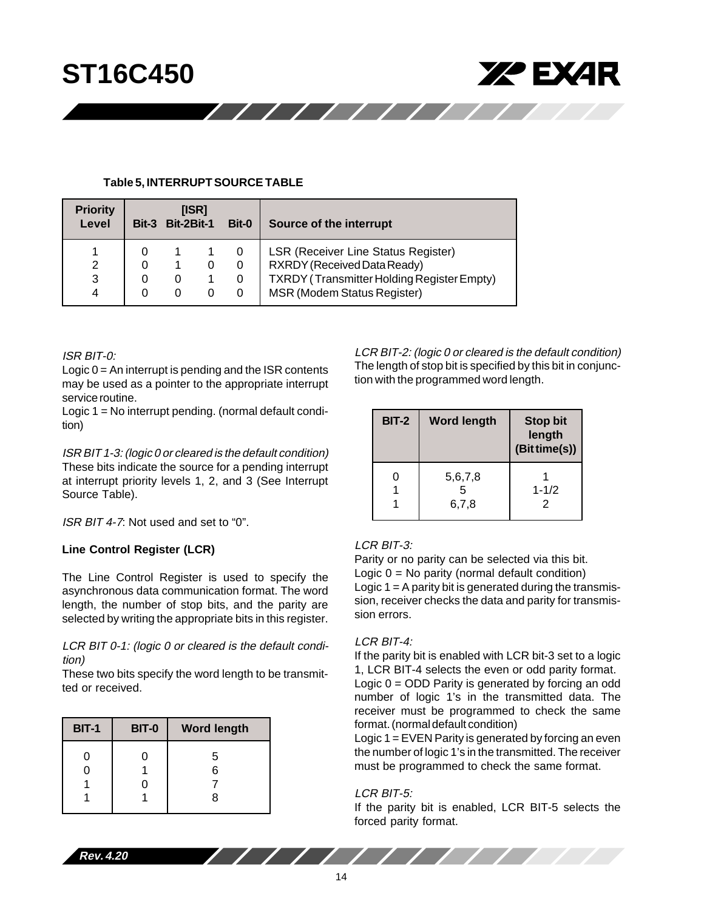

#### **Table 5, INTERRUPT SOURCE TABLE**

| <b>Priority</b><br>Level | $Bit-3$ | [ISR]<br><b>Bit-2Bit-1</b><br>Bit-0 |  | Source of the interrupt                                                   |
|--------------------------|---------|-------------------------------------|--|---------------------------------------------------------------------------|
| 2                        |         |                                     |  | LSR (Receiver Line Status Register)<br>RXRDY (Received Data Ready)        |
| 3<br>4                   |         | U                                   |  | TXRDY (Transmitter Holding Register Empty)<br>MSR (Modem Status Register) |

## ISR BIT-0:

Logic 0 = An interrupt is pending and the ISR contents may be used as a pointer to the appropriate interrupt service routine.

Logic 1 = No interrupt pending. (normal default condition)

ISR BIT 1-3: (logic 0 or cleared is the default condition) These bits indicate the source for a pending interrupt at interrupt priority levels 1, 2, and 3 (See Interrupt Source Table).

ISR BIT 4-7: Not used and set to "0".

# **Line Control Register (LCR)**

The Line Control Register is used to specify the asynchronous data communication format. The word length, the number of stop bits, and the parity are selected by writing the appropriate bits in this register.

LCR BIT 0-1: (logic 0 or cleared is the default condition)

These two bits specify the word length to be transmitted or received.

| <b>BIT-1</b> | <b>BIT-0</b> | <b>Word length</b> |
|--------------|--------------|--------------------|
| 0            | O<br>0       | 5<br>6<br>8        |

LCR BIT-2: (logic 0 or cleared is the default condition) The length of stop bit is specified by this bit in conjunction with the programmed word length.

| <b>BIT-2</b> | <b>Word length</b> | <b>Stop bit</b><br>length<br>(Bit time(s)) |
|--------------|--------------------|--------------------------------------------|
| ი            | 5,6,7,8<br>6,7,8   | $1 - 1/2$<br>2                             |

# LCR BIT-3:

Parity or no parity can be selected via this bit. Logic  $0 = No$  parity (normal default condition) Logic 1 = A parity bit is generated during the transmission, receiver checks the data and parity for transmission errors.

# LCR BIT-4:

If the parity bit is enabled with LCR bit-3 set to a logic 1, LCR BIT-4 selects the even or odd parity format. Logic  $0 = ODD$  Parity is generated by forcing an odd number of logic 1's in the transmitted data. The receiver must be programmed to check the same format. (normal default condition)

Logic 1 = EVEN Parity is generated by forcing an even the number of logic 1's in the transmitted. The receiver must be programmed to check the same format.

# LCR BIT-5:

///////////////

If the parity bit is enabled, LCR BIT-5 selects the forced parity format.

**Rev. 4.20**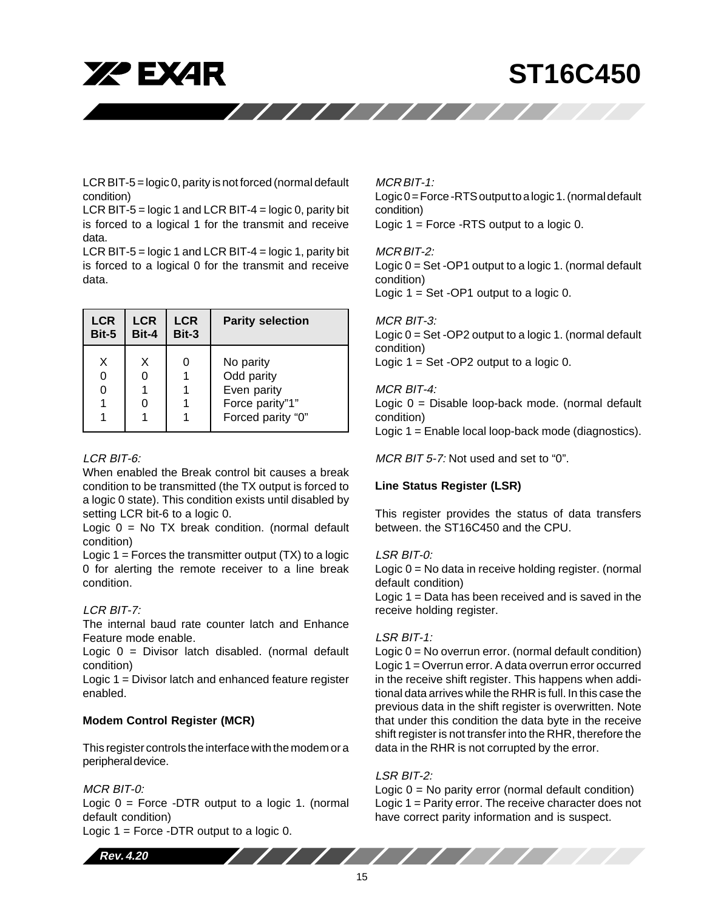**XZ EXAR** 

# **ST16C450**

LCR BIT-5 = logic 0, parity is not forced (normal default condition)

LCR BIT-5 = logic 1 and LCR BIT-4 = logic 0, parity bit is forced to a logical 1 for the transmit and receive data.

LCR BIT-5 = logic 1 and LCR BIT-4 = logic 1, parity bit is forced to a logical 0 for the transmit and receive data.

| <b>LCR</b>  | <b>LCR</b> | <b>LCR</b> | <b>Parity selection</b>                                                        |
|-------------|------------|------------|--------------------------------------------------------------------------------|
| Bit-5       | Bit-4      | Bit-3      |                                                                                |
| X<br>0<br>0 | х          |            | No parity<br>Odd parity<br>Even parity<br>Force parity"1"<br>Forced parity "0" |

## LCR BIT-6:

When enabled the Break control bit causes a break condition to be transmitted (the TX output is forced to a logic 0 state). This condition exists until disabled by setting LCR bit-6 to a logic 0.

Logic  $0 = No$  TX break condition. (normal default condition)

Logic  $1 =$  Forces the transmitter output  $(TX)$  to a logic 0 for alerting the remote receiver to a line break condition.

# LCR BIT-7:

The internal baud rate counter latch and Enhance Feature mode enable.

Logic  $0 =$  Divisor latch disabled. (normal default condition)

Logic 1 = Divisor latch and enhanced feature register enabled.

# **Modem Control Register (MCR)**

This register controls the interface with the modem or a peripheral device.

# MCR BIT-0:

Logic  $0 =$  Force -DTR output to a logic 1. (normal default condition)

Logic  $1 =$  Force -DTR output to a logic 0.

# MCR BIT-1:

////////////

Logic 0 = Force -RTS output to a logic 1. (normal default condition) Logic  $1 =$  Force -RTS output to a logic 0.

# MCR BIT-2:

Logic 0 = Set -OP1 output to a logic 1. (normal default condition) Logic  $1 = Set -OP1$  output to a logic 0.

# MCR BIT-3:

Logic 0 = Set -OP2 output to a logic 1. (normal default condition) Logic  $1 = Set -OP2$  output to a logic 0.

# MCR BIT-4:

Logic 0 = Disable loop-back mode. (normal default condition) Logic 1 = Enable local loop-back mode (diagnostics).

MCR BIT 5-7: Not used and set to "0".

# **Line Status Register (LSR)**

This register provides the status of data transfers between. the ST16C450 and the CPU.

# LSR BIT-0:

Logic 0 = No data in receive holding register. (normal default condition)

Logic 1 = Data has been received and is saved in the receive holding register.

# LSR BIT-1:

Logic 0 = No overrun error. (normal default condition) Logic 1 = Overrun error. A data overrun error occurred in the receive shift register. This happens when additional data arrives while the RHR is full. In this case the previous data in the shift register is overwritten. Note that under this condition the data byte in the receive shift register is not transfer into the RHR, therefore the data in the RHR is not corrupted by the error.

# LSR BIT-2:

Logic 0 = No parity error (normal default condition) Logic 1 = Parity error. The receive character does not have correct parity information and is suspect.

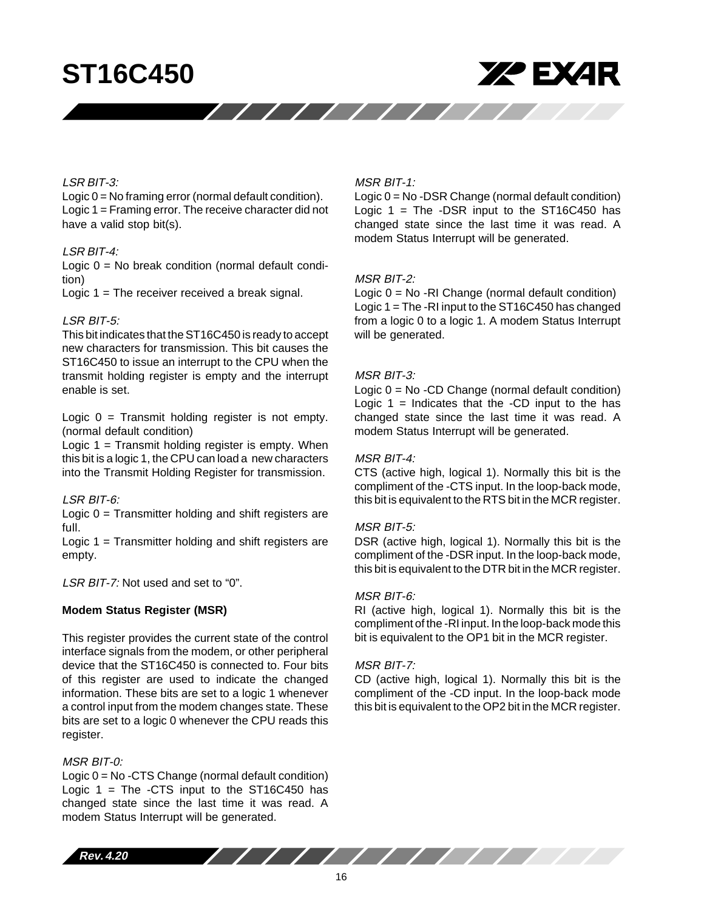

## LSR BIT-3:

Logic 0 = No framing error (normal default condition). Logic 1 = Framing error. The receive character did not have a valid stop bit(s).

#### LSR BIT-4:

Logic 0 = No break condition (normal default condition)

Logic 1 = The receiver received a break signal.

### LSR BIT-5:

This bit indicates that the ST16C450 is ready to accept new characters for transmission. This bit causes the ST16C450 to issue an interrupt to the CPU when the transmit holding register is empty and the interrupt enable is set.

Logic  $0 =$  Transmit holding register is not empty. (normal default condition)

Logic  $1 =$  Transmit holding register is empty. When this bit is a logic 1, the CPU can load a new characters into the Transmit Holding Register for transmission.

## LSR BIT-6:

Logic 0 = Transmitter holding and shift registers are full.

Logic 1 = Transmitter holding and shift registers are empty.

LSR BIT-7: Not used and set to "0".

## **Modem Status Register (MSR)**

This register provides the current state of the control interface signals from the modem, or other peripheral device that the ST16C450 is connected to. Four bits of this register are used to indicate the changed information. These bits are set to a logic 1 whenever a control input from the modem changes state. These bits are set to a logic 0 whenever the CPU reads this register.

## MSR BIT-0:

Logic 0 = No -CTS Change (normal default condition) Logic  $1 =$  The -CTS input to the ST16C450 has changed state since the last time it was read. A modem Status Interrupt will be generated.

#### MSR BIT-1:

//////////////

Logic 0 = No -DSR Change (normal default condition) Logic  $1 =$  The -DSR input to the ST16C450 has changed state since the last time it was read. A modem Status Interrupt will be generated.

#### MSR BIT-2:

Logic 0 = No -RI Change (normal default condition) Logic 1 = The -RI input to the ST16C450 has changed from a logic 0 to a logic 1. A modem Status Interrupt will be generated.

#### MSR BIT-3:

Logic 0 = No -CD Change (normal default condition) Logic  $1 =$  Indicates that the -CD input to the has changed state since the last time it was read. A modem Status Interrupt will be generated.

## MSR BIT-4:

CTS (active high, logical 1). Normally this bit is the compliment of the -CTS input. In the loop-back mode, this bit is equivalent to the RTS bit in the MCR register.

#### MSR BIT-5:

DSR (active high, logical 1). Normally this bit is the compliment of the -DSR input. In the loop-back mode, this bit is equivalent to the DTR bit in the MCR register.

#### MSR BIT-6:

RI (active high, logical 1). Normally this bit is the compliment of the -RI input. In the loop-back mode this bit is equivalent to the OP1 bit in the MCR register.

## MSR BIT-7:

CD (active high, logical 1). Normally this bit is the compliment of the -CD input. In the loop-back mode this bit is equivalent to the OP2 bit in the MCR register.

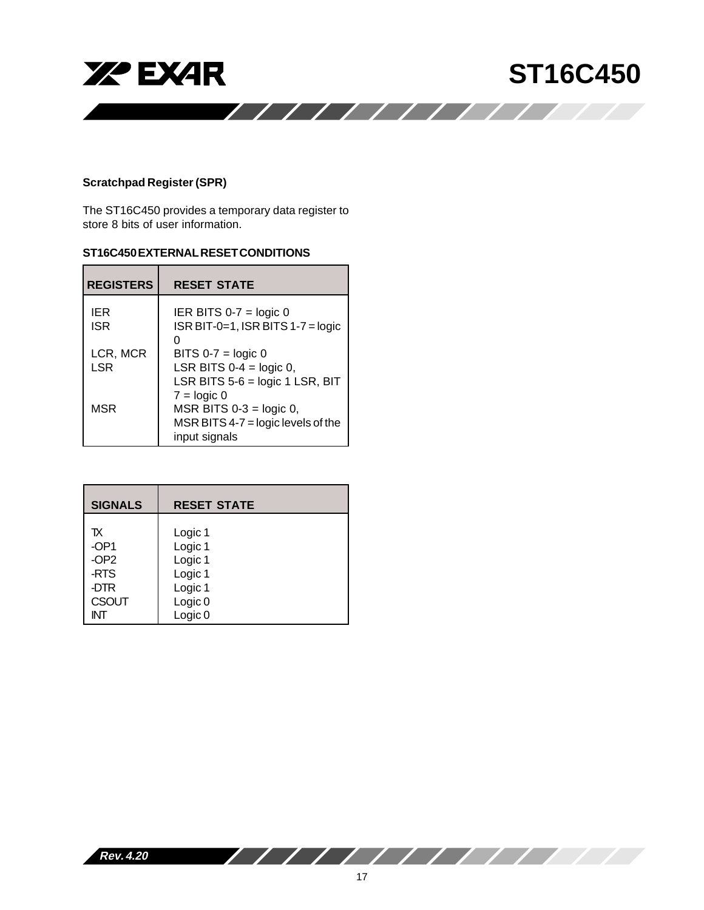

# **Scratchpad Register (SPR)**

The ST16C450 provides a temporary data register to store 8 bits of user information.

# **ST16C450 EXTERNAL RESET CONDITIONS**

| <b>REGISTERS</b>       | <b>RESET STATE</b>                                                                                                   |
|------------------------|----------------------------------------------------------------------------------------------------------------------|
| IER<br><b>ISR</b>      | IER BITS $0-7$ = logic 0<br>$ISR BIT-0=1$ , $ISR BITS 1-7 = logic$                                                   |
| LCR, MCR<br><b>LSR</b> | BITS $0-7$ = logic 0<br>LSR BITS $0-4 = \text{logic } 0$ ,                                                           |
|                        | LSR BITS 5-6 = logic 1 LSR, BIT                                                                                      |
| <b>MSR</b>             | $7 = \text{logic } 0$<br>MSR BITS $0-3 = \text{logic } 0$ ,<br>MSR BITS $4-7$ = logic levels of the<br>input signals |

| <b>SIGNALS</b>   | <b>RESET STATE</b> |
|------------------|--------------------|
| TX               | Logic 1            |
| $-OP1$           | Logic 1            |
| -OP <sub>2</sub> | Logic 1            |
| -RTS             | Logic 1            |
| -DTR             | Logic 1            |
| <b>CSOUT</b>     | Logic <sub>0</sub> |
| INT              | Logic <sub>0</sub> |

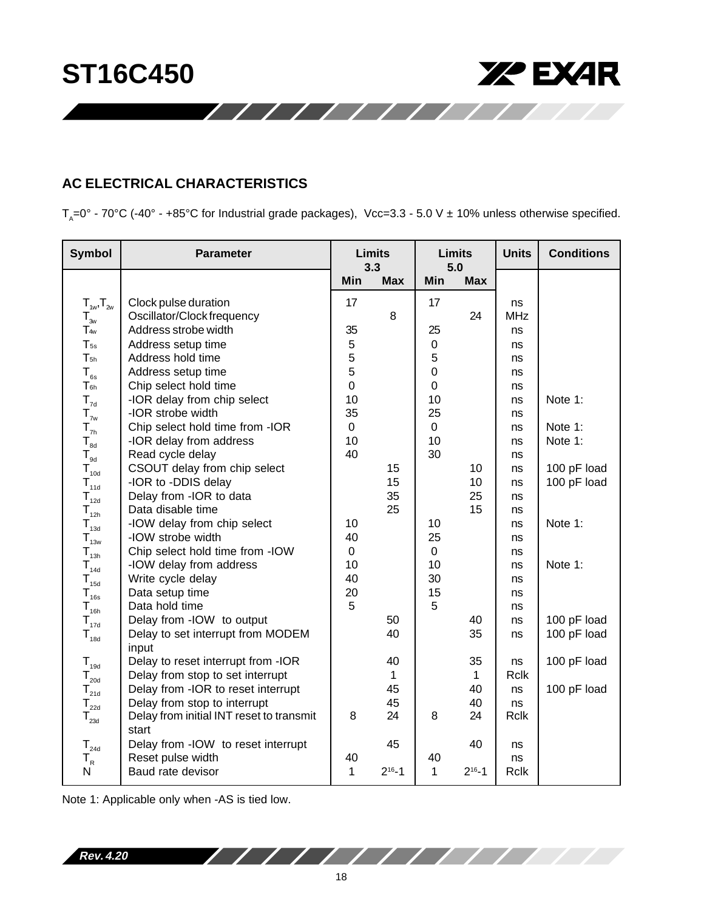



# **AC ELECTRICAL CHARACTERISTICS**

 $T_A=0^\circ$  - 70°C (-40° - +85°C for Industrial grade packages), Vcc=3.3 - 5.0 V ± 10% unless otherwise specified.

/////////////

| <b>Symbol</b>                                    | <b>Parameter</b>                         | <b>Limits</b><br>3.3 |              | <b>Limits</b><br>5.0 |              | <b>Units</b> | <b>Conditions</b> |
|--------------------------------------------------|------------------------------------------|----------------------|--------------|----------------------|--------------|--------------|-------------------|
|                                                  |                                          | Min                  | <b>Max</b>   | Min                  | <b>Max</b>   |              |                   |
| $T_{1w}$ , $T_{2w}$                              | Clock pulse duration                     | 17                   |              | 17                   |              | ns           |                   |
| $T_{3w}$                                         | Oscillator/Clock frequency               |                      | $\, 8$       |                      | 24           | <b>MHz</b>   |                   |
| T <sub>4w</sub>                                  | Address strobe width                     | 35                   |              | 25                   |              | ns           |                   |
| $T_{5s}$                                         | Address setup time                       | 5                    |              | $\mathsf 0$          |              | ns           |                   |
| $T_{5h}$                                         | Address hold time                        | 5                    |              | 5                    |              | ns           |                   |
| $T_{\rm \scriptscriptstyle 6s}$                  | Address setup time                       | 5                    |              | 0                    |              | ns           |                   |
| $T_{6h}$                                         | Chip select hold time                    | $\mathbf 0$          |              | 0                    |              | ns           |                   |
| $T_{7d}$                                         | -IOR delay from chip select              | 10                   |              | 10                   |              | ns           | Note 1:           |
| $\mathsf{T}_{_{7\mathsf{w}}}$                    | -IOR strobe width                        | 35                   |              | 25                   |              | ns           |                   |
| ${\mathsf T}_{\scriptscriptstyle{\sf 7h}}$       | Chip select hold time from -IOR          | $\pmb{0}$            |              | $\mathbf 0$          |              | ns           | Note 1:           |
| $\mathsf{T}_{\scriptscriptstyle{\mathsf{8d}}}$   | -IOR delay from address                  | 10                   |              | 10                   |              | ns           | Note 1:           |
| $\mathsf{T}_{\scriptscriptstyle{\mathsf{9d}}}$   | Read cycle delay                         | 40                   |              | 30                   |              | ns           |                   |
| ${\mathsf T}_{\scriptscriptstyle 10\text{d}}$    | CSOUT delay from chip select             |                      | 15           |                      | 10           | ns           | 100 pF load       |
| $\mathsf{T}_{\scriptscriptstyle \mathsf{11d}}$   | -IOR to -DDIS delay                      |                      | 15           |                      | 10           | ns           | 100 pF load       |
| ${\sf T}_{\rm_{12d}}$                            | Delay from - IOR to data                 |                      | 35           |                      | 25           | ns           |                   |
| $\mathsf{T}_{_{12h}}$                            | Data disable time                        |                      | 25           |                      | 15           | ns           |                   |
| ${\mathsf T}_{\scriptscriptstyle 13{\mathsf d}}$ | -IOW delay from chip select              | 10                   |              | 10                   |              | ns           | Note 1:           |
| $\mathsf{T}_{_{13\mathsf{w}}}$                   | -IOW strobe width                        | 40                   |              | 25                   |              | ns           |                   |
| $T_{_{13h}}$                                     | Chip select hold time from -IOW          | $\pmb{0}$            |              | $\mathbf 0$          |              | ns           |                   |
| $T_{_{14d}}$                                     | -IOW delay from address                  | 10                   |              | 10                   |              | ns           | Note 1:           |
| $T_{15d}$                                        | Write cycle delay                        | 40                   |              | 30                   |              | ns           |                   |
| ${\mathsf T}_{\scriptscriptstyle 16{\rm s}}$     | Data setup time                          | 20                   |              | 15                   |              | ns           |                   |
| ${\mathsf T}_{\scriptscriptstyle 16h}$           | Data hold time                           | 5                    |              | 5                    |              | ns           |                   |
| ${\mathsf T}_{\scriptscriptstyle 17\text{d}}$    | Delay from -IOW to output                |                      | 50           |                      | 40           | ns           | 100 pF load       |
| ${\mathsf T}_{\scriptscriptstyle 18\text{d}}$    | Delay to set interrupt from MODEM        |                      | 40           |                      | 35           | ns           | 100 pF load       |
|                                                  | input                                    |                      |              |                      |              |              |                   |
| $\mathsf{T}_{\scriptscriptstyle{19d}}$           | Delay to reset interrupt from -IOR       |                      | 40           |                      | 35           | ns           | 100 pF load       |
| $\mathsf{T}_{\mathsf{zod}}$                      | Delay from stop to set interrupt         |                      | 1            |                      | $\mathbf 1$  | <b>Rclk</b>  |                   |
| $\mathsf{T}_{\scriptscriptstyle{\mathsf{21d}}}$  | Delay from -IOR to reset interrupt       |                      | 45           |                      | 40           | ns           | 100 pF load       |
| $\mathsf{T}_{\mathsf{22d}}$                      | Delay from stop to interrupt             |                      | 45           |                      | 40           | ns           |                   |
| $\mathsf{T}_{_{23d}}$                            | Delay from initial INT reset to transmit | 8                    | 24           | 8                    | 24           | <b>Rclk</b>  |                   |
|                                                  | start                                    |                      |              |                      |              |              |                   |
| ${\sf T}_{\sf 24d}$                              | Delay from -IOW to reset interrupt       |                      | 45           |                      | 40           | ns           |                   |
| $\mathsf{T}_{\mathsf{R}}$                        | Reset pulse width                        | 40                   | $2^{16} - 1$ | 40                   | $2^{16} - 1$ | ns           |                   |
| $\mathsf{N}$                                     | Baud rate devisor                        | $\mathbf{1}$         |              | $\mathbf{1}$         |              | <b>Rclk</b>  |                   |

Note 1: Applicable only when -AS is tied low.

**Rev. 4.20**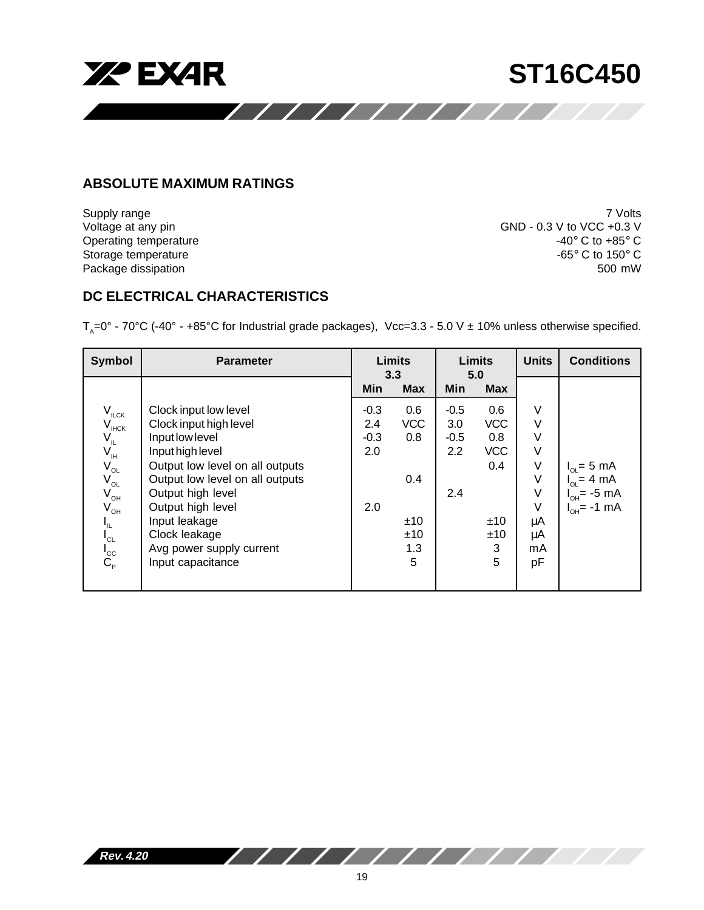

# **ABSOLUTE MAXIMUM RATINGS**

Package dissipation

Supply range 7 Volts Voltage at any pin GND - 0.3 V to VCC +0.3 V Operating temperature  $-40^{\circ}$  C to  $+85^{\circ}$  C<br>Storage temperature  $-65^{\circ}$  C to  $150^{\circ}$  C Storage temperature  $-65^{\circ}$  C to 150° C<br>Package dissipation  $-65^{\circ}$  C to 150° C

# **DC ELECTRICAL CHARACTERISTICS**

 $T_{\text{A}}=0^{\circ}$  - 70°C (-40° - +85°C for Industrial grade packages), Vcc=3.3 - 5.0 V ± 10% unless otherwise specified.

| Symbol                         | <b>Parameter</b>                | <b>Limits</b><br>3.3 |            | <b>Limits</b><br>5.0 |            | <b>Units</b> | <b>Conditions</b>       |
|--------------------------------|---------------------------------|----------------------|------------|----------------------|------------|--------------|-------------------------|
|                                |                                 | Min                  | <b>Max</b> | Min                  | <b>Max</b> |              |                         |
| $V_{ILCK}$                     | Clock input low level           | $-0.3$               | 0.6        | $-0.5$               | 0.6        | V            |                         |
| $V_{HCK}$                      | Clock input high level          | 2.4                  | <b>VCC</b> | 3.0                  | <b>VCC</b> | $\vee$       |                         |
| $V_{\mu}$                      | Input low level                 | $-0.3$               | 0.8        | $-0.5$               | 0.8        | $\vee$       |                         |
| $V_{\scriptscriptstyle\rm IH}$ | Input high level                | 2.0                  |            | 2.2                  | <b>VCC</b> | V            |                         |
| $V_{OL}$                       | Output low level on all outputs |                      |            |                      | 0.4        | $\vee$       | $I_{OL} = 5$ mA         |
| $V_{_{OL}}$                    | Output low level on all outputs |                      | 0.4        |                      |            | $\vee$       | $I_{OL} = 4 \text{ mA}$ |
| $V_{\text{OH}}$                | Output high level               |                      |            | 2.4                  |            | $\vee$       | $I_{OH}$ = -5 mA        |
| $V_{\text{OH}}$                | Output high level               | 2.0                  |            |                      |            | $\vee$       | $I_{OH} = -1$ mA        |
| $I_{\parallel L}$              | Input leakage                   |                      | ±10        |                      | ±10        | μA           |                         |
| $I_{CL}$                       | Clock leakage                   |                      | ±10        |                      | ±10        | μA           |                         |
|                                | Avg power supply current        |                      | 1.3        |                      | 3          | mA           |                         |
| $I_{\rm cc}$                   | Input capacitance               |                      | 5          |                      | 5          | pF           |                         |
|                                |                                 |                      |            |                      |            |              |                         |

**Rev. 4.20**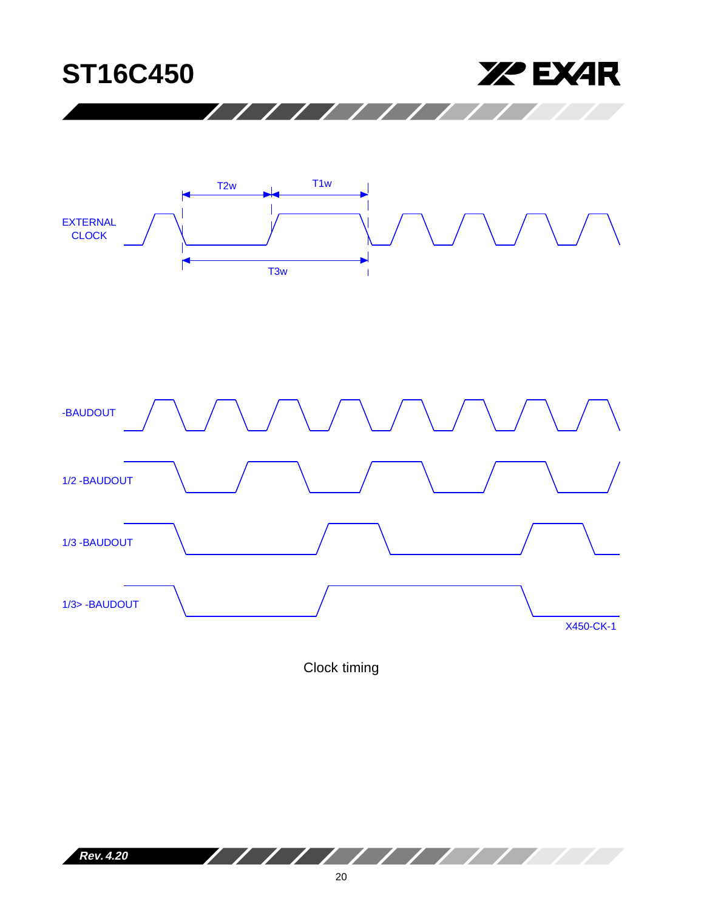



Clock timing

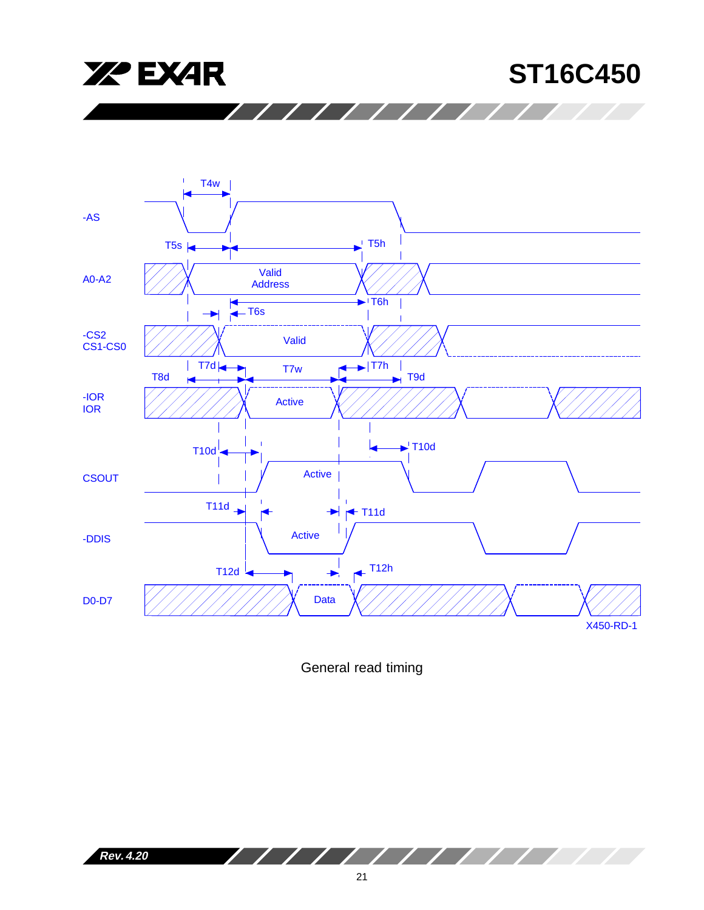





General read timing

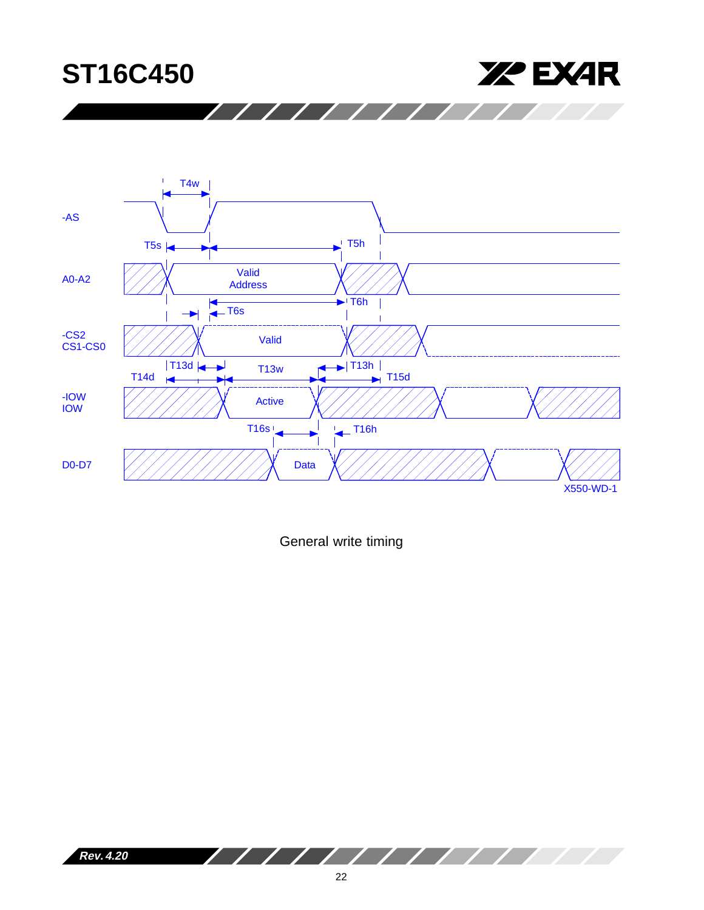



////////

General write timing



∕

///////////////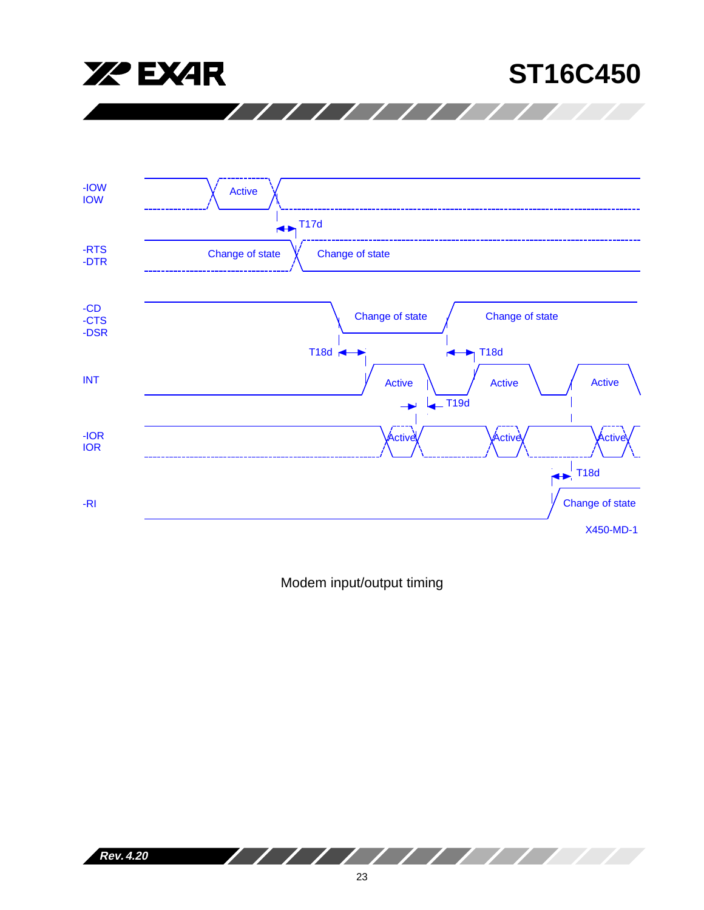



Modem input/output timing

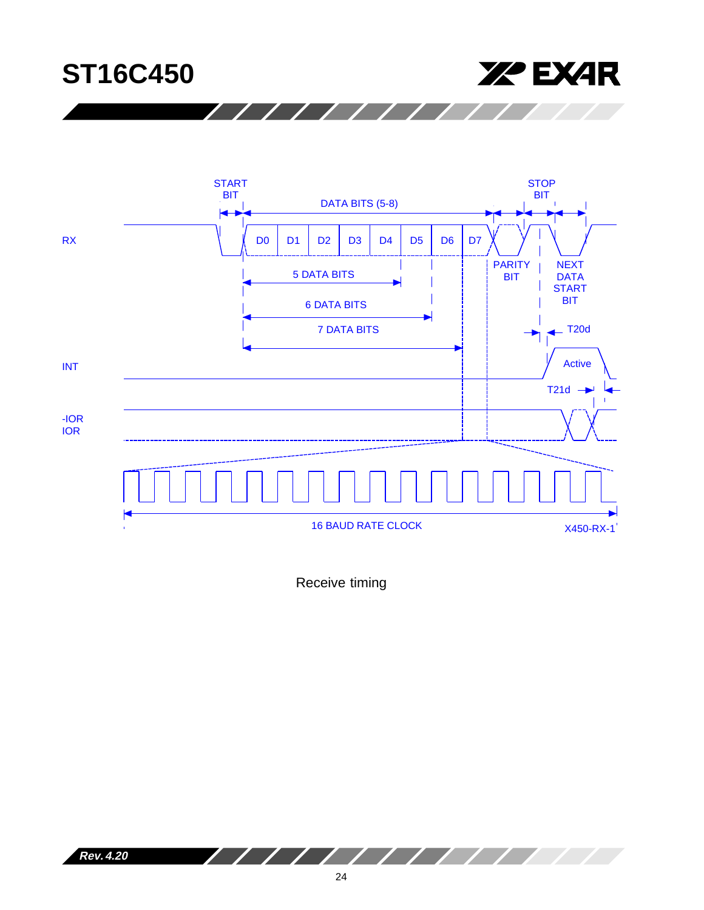



 $\prime$  / / /

Receive timing

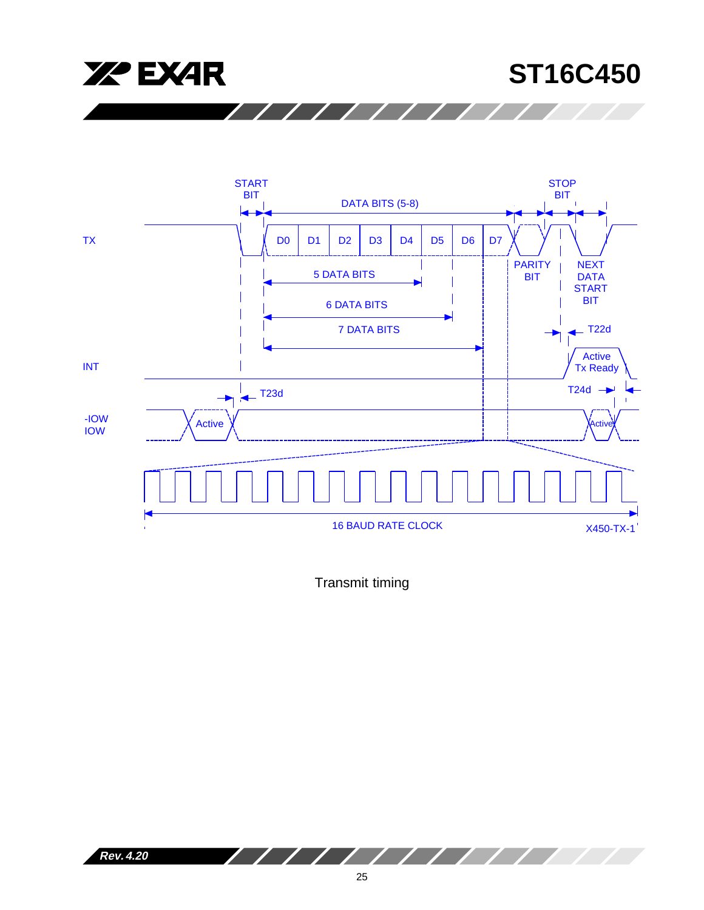





 $\sqrt{1111}$ 

Transmit timing

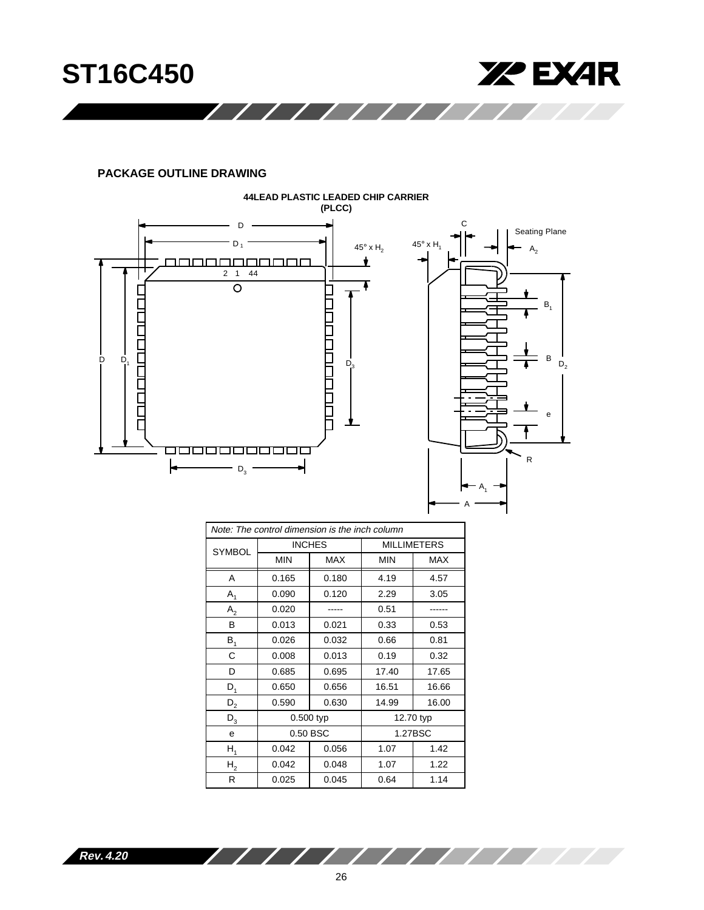

# **PACKAGE OUTLINE DRAWING**



| Note: The control dimension is the inch column |             |               |                    |            |  |
|------------------------------------------------|-------------|---------------|--------------------|------------|--|
| <b>SYMBOL</b>                                  |             | <b>INCHES</b> | <b>MILLIMETERS</b> |            |  |
|                                                | <b>MIN</b>  | <b>MAX</b>    | <b>MIN</b>         | <b>MAX</b> |  |
| A                                              | 0.165       | 0.180         | 4.19               | 4.57       |  |
| $A_1$                                          | 0.090       | 0.120         | 2.29               | 3.05       |  |
| A <sub>2</sub>                                 | 0.020       |               | 0.51               |            |  |
| в                                              | 0.013       | 0.021         | 0.33               | 0.53       |  |
| B <sub>1</sub>                                 | 0.026       | 0.032         | 0.66               | 0.81       |  |
| C                                              | 0.008       | 0.013         | 0.19               | 0.32       |  |
| D                                              | 0.685       | 0.695         | 17.40              | 17.65      |  |
| $D_1$                                          | 0.650       | 0.656         | 16.51              | 16.66      |  |
| $D_2$                                          | 0.590       | 0.630         | 14.99              | 16.00      |  |
| $\mathsf{D}_3$                                 | $0.500$ typ |               |                    | 12.70 typ  |  |
| e                                              | 0.50 BSC    |               |                    | 1.27BSC    |  |
| $H_1$                                          | 0.042       | 0.056         | 1.07               | 1.42       |  |
| H <sub>2</sub>                                 | 0.042       | 0.048         | 1.07               | 1.22       |  |
| R                                              | 0.025       | 0.045         | 0.64               | 1.14       |  |

**Rev. 4.20**

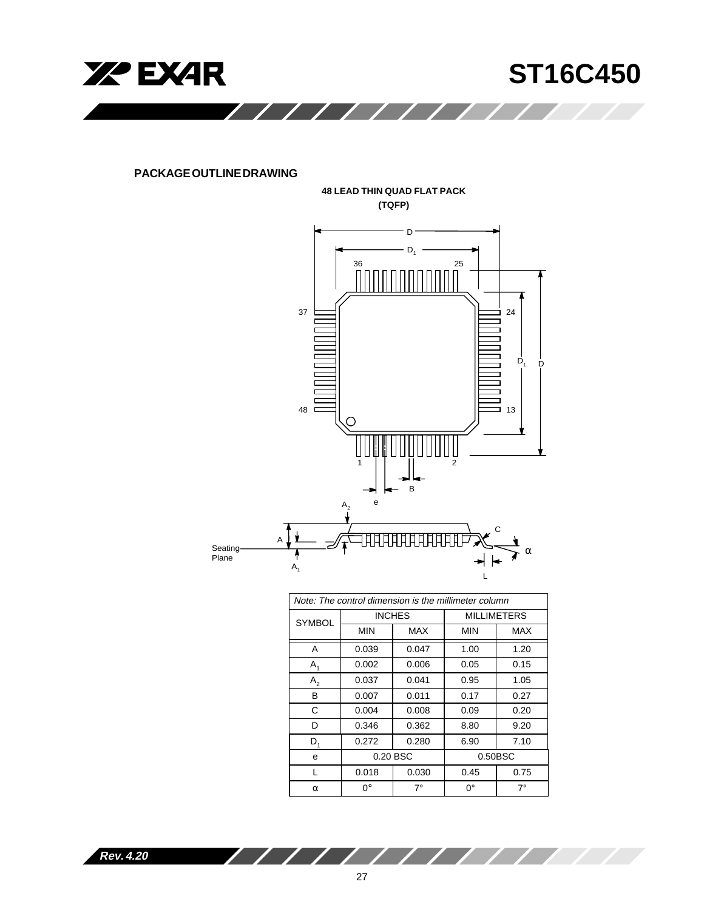

**PACKAGE OUTLINE DRAWING**



| Note: The control dimension is the millimeter column |               |       |                    |         |  |
|------------------------------------------------------|---------------|-------|--------------------|---------|--|
| <b>SYMBOL</b>                                        | <b>INCHES</b> |       | <b>MILLIMETERS</b> |         |  |
|                                                      | <b>MIN</b>    | MAX   | <b>MIN</b>         | MAX     |  |
| A                                                    | 0.039         | 0.047 | 1.00               | 1.20    |  |
| $A_{1}$                                              | 0.002         | 0.006 | 0.05               | 0.15    |  |
| $A_{2}$                                              | 0.037         | 0.041 | 0.95               | 1.05    |  |
| в                                                    | 0.007         | 0.011 | 0.17               | 0.27    |  |
| C                                                    | 0.004         | 0.008 | 0.09               | 0.20    |  |
| D                                                    | 0.346         | 0.362 | 8.80               | 9.20    |  |
| $D_{1}$                                              | 0.272         | 0.280 | 6.90               | 7.10    |  |
| e                                                    | 0.20 BSC      |       |                    | 0.50BSC |  |
| L                                                    | 0.018         | 0.030 | 0.45               | 0.75    |  |
| α                                                    | ∩°            | 7°    | 0°                 | 7°      |  |

 $\overline{\phantom{a}}$ 

 $\overline{\phantom{a}}$ 

Z

g i

**Rev. 4.20**